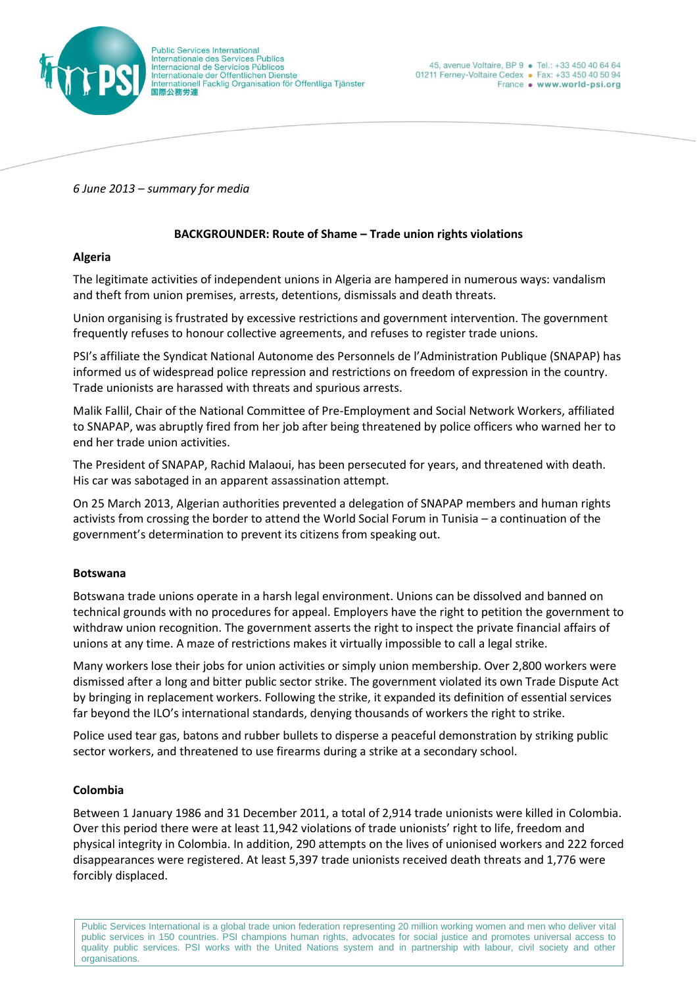

*6 June 2013 – summary for media*

### **BACKGROUNDER: Route of Shame – Trade union rights violations**

### **Algeria**

The legitimate activities of independent unions in Algeria are hampered in numerous ways: vandalism and theft from union premises, arrests, detentions, dismissals and death threats.

Union organising is frustrated by excessive restrictions and government intervention. The government frequently refuses to honour collective agreements, and refuses to register trade unions.

PSI's affiliate the Syndicat National Autonome des Personnels de l'Administration Publique (SNAPAP) has informed us of widespread police repression and restrictions on freedom of expression in the country. Trade unionists are harassed with threats and spurious arrests.

Malik Fallil, Chair of the National Committee of Pre-Employment and Social Network Workers, affiliated to SNAPAP, was abruptly fired from her job after being threatened by police officers who warned her to end her trade union activities.

The President of SNAPAP, Rachid Malaoui, has been persecuted for years, and threatened with death. His car was sabotaged in an apparent assassination attempt.

On 25 March 2013, Algerian authorities prevented a delegation of SNAPAP members and human rights activists from crossing the border to attend the World Social Forum in Tunisia – a continuation of the government's determination to prevent its citizens from speaking out.

#### **Botswana**

Botswana trade unions operate in a harsh legal environment. Unions can be dissolved and banned on technical grounds with no procedures for appeal. Employers have the right to petition the government to withdraw union recognition. The government asserts the right to inspect the private financial affairs of unions at any time. A maze of restrictions makes it virtually impossible to call a legal strike.

Many workers lose their jobs for union activities or simply union membership. Over 2,800 workers were dismissed after a long and bitter public sector strike. The government violated its own Trade Dispute Act by bringing in replacement workers. Following the strike, it expanded its definition of essential services far beyond the ILO's international standards, denying thousands of workers the right to strike.

Police used tear gas, batons and rubber bullets to disperse a peaceful demonstration by striking public sector workers, and threatened to use firearms during a strike at a secondary school.

## **Colombia**

Between 1 January 1986 and 31 December 2011, a total of 2,914 trade unionists were killed in Colombia. Over this period there were at least 11,942 violations of trade unionists' right to life, freedom and physical integrity in Colombia. In addition, 290 attempts on the lives of unionised workers and 222 forced disappearances were registered. At least 5,397 trade unionists received death threats and 1,776 were forcibly displaced.

Public Services International is a global trade union federation representing 20 million working women and men who deliver vital public services in 150 countries. PSI champions human rights, advocates for social justice and promotes universal access to quality public services. PSI works with the United Nations system and in partnership with labour, civil society and other organisations.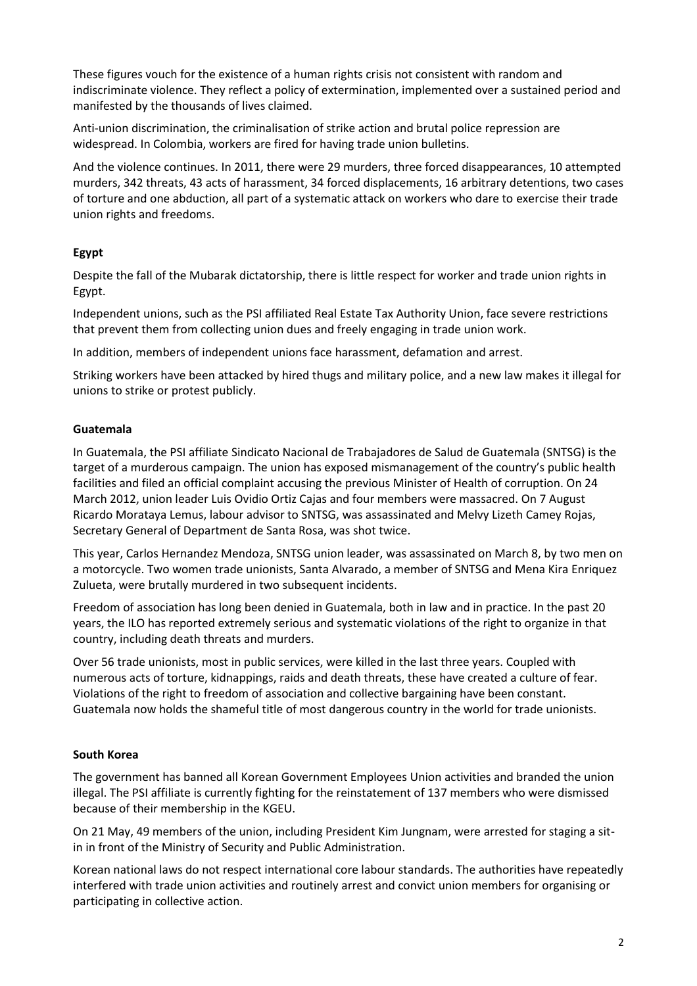These figures vouch for the existence of a human rights crisis not consistent with random and indiscriminate violence. They reflect a policy of extermination, implemented over a sustained period and manifested by the thousands of lives claimed.

Anti-union discrimination, the criminalisation of strike action and brutal police repression are widespread. In Colombia, workers are fired for having trade union bulletins.

And the violence continues. In 2011, there were 29 murders, three forced disappearances, 10 attempted murders, 342 threats, 43 acts of harassment, 34 forced displacements, 16 arbitrary detentions, two cases of torture and one abduction, all part of a systematic attack on workers who dare to exercise their trade union rights and freedoms.

# **Egypt**

Despite the fall of the Mubarak dictatorship, there is little respect for worker and trade union rights in Egypt.

Independent unions, such as the PSI affiliated Real Estate Tax Authority Union, face severe restrictions that prevent them from collecting union dues and freely engaging in trade union work.

In addition, members of independent unions face harassment, defamation and arrest.

Striking workers have been attacked by hired thugs and military police, and a new law makes it illegal for unions to strike or protest publicly.

## **Guatemala**

In Guatemala, the PSI affiliate Sindicato Nacional de Trabajadores de Salud de Guatemala (SNTSG) is the target of a murderous campaign. The union has exposed mismanagement of the country's public health facilities and filed an official complaint accusing the previous Minister of Health of corruption. On 24 March 2012, union leader Luis Ovidio Ortiz Cajas and four members were massacred. On 7 August Ricardo Morataya Lemus, labour advisor to SNTSG, was assassinated and Melvy Lizeth Camey Rojas, Secretary General of Department de Santa Rosa, was shot twice.

This year, Carlos Hernandez Mendoza, SNTSG union leader, was assassinated on March 8, by two men on a motorcycle. Two women trade unionists, Santa Alvarado, a member of SNTSG and Mena Kira Enriquez Zulueta, were brutally murdered in two subsequent incidents.

Freedom of association has long been denied in Guatemala, both in law and in practice. In the past 20 years, the ILO has reported extremely serious and systematic violations of the right to organize in that country, including death threats and murders.

Over 56 trade unionists, most in public services, were killed in the last three years. Coupled with numerous acts of torture, kidnappings, raids and death threats, these have created a culture of fear. Violations of the right to freedom of association and collective bargaining have been constant. Guatemala now holds the shameful title of most dangerous country in the world for trade unionists.

## **South Korea**

The government has banned all Korean Government Employees Union activities and branded the union illegal. The PSI affiliate is currently fighting for the reinstatement of 137 members who were dismissed because of their membership in the KGEU.

On 21 May, 49 members of the union, including President Kim Jungnam, were arrested for staging a sitin in front of the Ministry of Security and Public Administration.

Korean national laws do not respect international core labour standards. The authorities have repeatedly interfered with trade union activities and routinely arrest and convict union members for organising or participating in collective action.